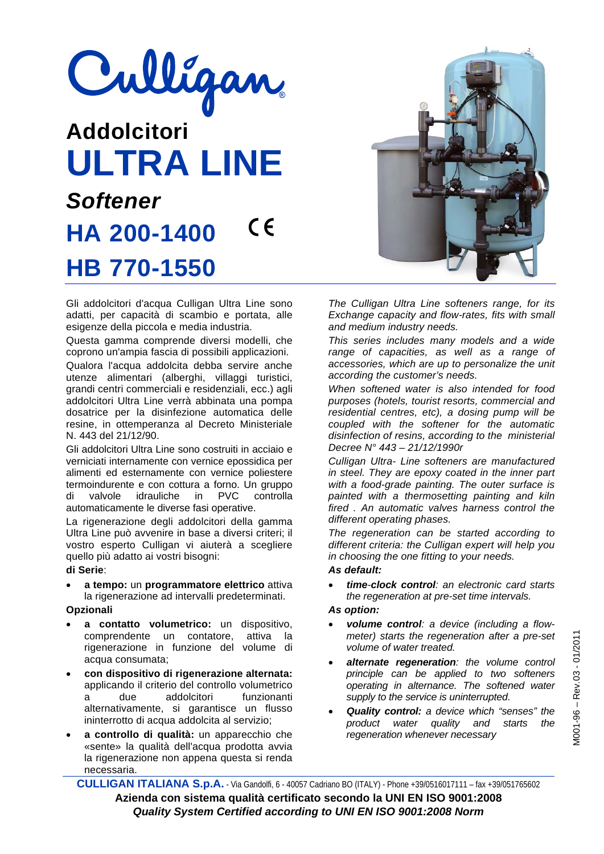# Culligan

# **Addolcitori ULTRA LINE**  *Softener*   $\epsilon$ **HA 200-1400 HB 770-1550**

Gli addolcitori d'acqua Culligan Ultra Line sono adatti, per capacità di scambio e portata, alle esigenze della piccola e media industria.

Questa gamma comprende diversi modelli, che coprono un'ampia fascia di possibili applicazioni.

Qualora l'acqua addolcita debba servire anche utenze alimentari (alberghi, villaggi turistici, grandi centri commerciali e residenziali, ecc.) agli addolcitori Ultra Line verrà abbinata una pompa dosatrice per la disinfezione automatica delle resine, in ottemperanza al Decreto Ministeriale N. 443 del 21/12/90.

Gli addolcitori Ultra Line sono costruiti in acciaio e verniciati internamente con vernice epossidica per alimenti ed esternamente con vernice poliestere termoindurente e con cottura a forno. Un gruppo di valvole idrauliche in PVC controlla automaticamente le diverse fasi operative.

La rigenerazione degli addolcitori della gamma Ultra Line può avvenire in base a diversi criteri; il vostro esperto Culligan vi aiuterà a scegliere quello più adatto ai vostri bisogni:

### **di Serie**:

 **a tempo:** un **programmatore elettrico** attiva la rigenerazione ad intervalli predeterminati.

# **Opzionali**

- **a contatto volumetrico:** un dispositivo, comprendente un contatore, attiva la rigenerazione in funzione del volume di acqua consumata;
- **con dispositivo di rigenerazione alternata:**  applicando il criterio del controllo volumetrico a due addolcitori funzionanti alternativamente, si garantisce un flusso ininterrotto di acqua addolcita al servizio;
- **a controllo di qualità:** un apparecchio che «sente» la qualità dell'acqua prodotta avvia la rigenerazione non appena questa si renda necessaria.



*The Culligan Ultra Line softeners range, for its Exchange capacity and flow-rates, fits with small and medium industry needs.* 

*This series includes many models and a wide range of capacities, as well as a range of accessories, which are up to personalize the unit according the customer's needs.* 

*When softened water is also intended for food purposes (hotels, tourist resorts, commercial and residential centres, etc), a dosing pump will be coupled with the softener for the automatic disinfection of resins, according to the ministerial Decree N° 443 – 21/12/1990r* 

*Culligan Ultra- Line softeners are manufactured in steel. They are epoxy coated in the inner part with a food-grade painting. The outer surface is painted with a thermosetting painting and kiln fired . An automatic valves harness control the different operating phases.* 

*The regeneration can be started according to different criteria: the Culligan expert will help you in choosing the one fitting to your needs.* 

## *As default:*

 *time-clock control: an electronic card starts the regeneration at pre-set time intervals.* 

## *As option:*

- *volume control: a device (including a flowmeter) starts the regeneration after a pre-set volume of water treated.*
- *alternate regeneration: the volume control principle can be applied to two softeners operating in alternance. The softened water supply to the service is uninterrupted.*
- *Quality control: a device which "senses" the product water quality and starts the regeneration whenever necessary*

**CULLIGAN ITALIANA S.p.A.** - Via Gandolfi, 6 - 40057 Cadriano BO (ITALY) - Phone +39/0516017111 – fax +39/051765602 **Azienda con sistema qualità certificato secondo la UNI EN ISO 9001:2008**  *Quality System Certified according to UNI EN ISO 9001:2008 Norm*